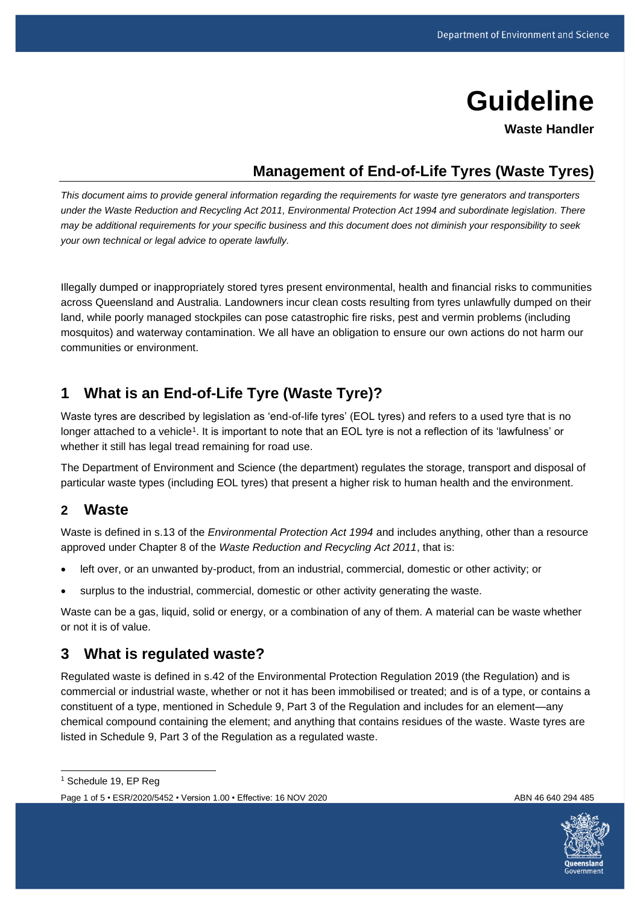# **Guideline**

**Waste Handler**

## **Management of End-of-Life Tyres (Waste Tyres)**

*This document aims to provide general information regarding the requirements for waste tyre generators and transporters under the Waste Reduction and Recycling Act 2011, Environmental Protection Act 1994 and subordinate legislation. There may be additional requirements for your specific business and this document does not diminish your responsibility to seek your own technical or legal advice to operate lawfully.*

Illegally dumped or inappropriately stored tyres present environmental, health and financial risks to communities across Queensland and Australia. Landowners incur clean costs resulting from tyres unlawfully dumped on their land, while poorly managed stockpiles can pose catastrophic fire risks, pest and vermin problems (including mosquitos) and waterway contamination. We all have an obligation to ensure our own actions do not harm our communities or environment.

## **1 What is an End-of-Life Tyre (Waste Tyre)?**

Waste tyres are described by legislation as 'end-of-life tyres' (EOL tyres) and refers to a used tyre that is no longer attached to a vehicle<sup>1</sup>. It is important to note that an EOL tyre is not a reflection of its 'lawfulness' or whether it still has legal tread remaining for road use.

The Department of Environment and Science (the department) regulates the storage, transport and disposal of particular waste types (including EOL tyres) that present a higher risk to human health and the environment.

### **2 Waste**

Waste is defined in s.13 of the *Environmental Protection Act 1994* and includes anything, other than a resource approved under Chapter 8 of the *Waste Reduction and Recycling Act 2011*, that is:

- left over, or an unwanted by-product, from an industrial, commercial, domestic or other activity; or
- surplus to the industrial, commercial, domestic or other activity generating the waste.

Waste can be a gas, liquid, solid or energy, or a combination of any of them. A material can be waste whether or not it is of value.

## **3 What is regulated waste?**

Regulated waste is defined in s.42 of the Environmental Protection Regulation 2019 (the Regulation) and is commercial or industrial waste, whether or not it has been immobilised or treated; and is of a type, or contains a constituent of a type, mentioned in Schedule 9, Part 3 of the Regulation and includes for an element—any chemical compound containing the element; and anything that contains residues of the waste. Waste tyres are listed in Schedule 9, Part 3 of the Regulation as a regulated waste.



<sup>1</sup> Schedule 19, EP Reg

Page 1 of 5 • ESR/2020/5452 • Version 1.00 • Effective: 16 NOV 2020 ABN 46 640 294 485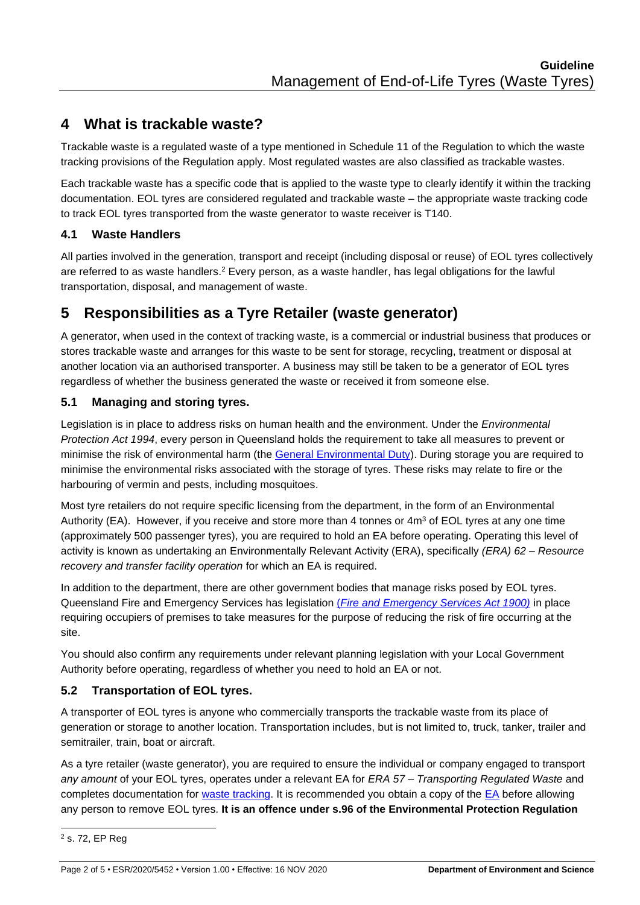## **4 What is trackable waste?**

Trackable waste is a regulated waste of a type mentioned in Schedule 11 of the Regulation to which the waste tracking provisions of the Regulation apply. Most regulated wastes are also classified as trackable wastes.

Each trackable waste has a specific code that is applied to the waste type to clearly identify it within the tracking documentation. EOL tyres are considered regulated and trackable waste – the appropriate waste tracking code to track EOL tyres transported from the waste generator to waste receiver is T140.

#### **4.1 Waste Handlers**

All parties involved in the generation, transport and receipt (including disposal or reuse) of EOL tyres collectively are referred to as waste handlers.<sup>2</sup> Every person, as a waste handler, has legal obligations for the lawful transportation, disposal, and management of waste.

## **5 Responsibilities as a Tyre Retailer (waste generator)**

A generator, when used in the context of tracking waste, is a commercial or industrial business that produces or stores trackable waste and arranges for this waste to be sent for storage, recycling, treatment or disposal at another location via an authorised transporter. A business may still be taken to be a generator of EOL tyres regardless of whether the business generated the waste or received it from someone else.

#### **5.1 Managing and storing tyres.**

Legislation is in place to address risks on human health and the environment. Under the *Environmental Protection Act 1994*, every person in Queensland holds the requirement to take all measures to prevent or minimise the risk of environmental harm (the [General Environmental Duty\)](https://environment.des.qld.gov.au/management/compliance-enforcement/obligations-duties). During storage you are required to minimise the environmental risks associated with the storage of tyres. These risks may relate to fire or the harbouring of vermin and pests, including mosquitoes.

Most tyre retailers do not require specific licensing from the department, in the form of an Environmental Authority (EA). However, if you receive and store more than 4 tonnes or 4m<sup>3</sup> of EOL tyres at any one time (approximately 500 passenger tyres), you are required to hold an EA before operating. Operating this level of activity is known as undertaking an Environmentally Relevant Activity (ERA), specifically *(ERA) 62 – Resource recovery and transfer facility operation* for which an EA is required.

In addition to the department, there are other government bodies that manage risks posed by EOL tyres. Queensland Fire and Emergency Services has legislation (*[Fire and Emergency Services Act 1900\)](https://www.legislation.qld.gov.au/view/pdf/inforce/current/act-1990-010#page=69)* in place requiring occupiers of premises to take measures for the purpose of reducing the risk of fire occurring at the site.

You should also confirm any requirements under relevant planning legislation with your Local Government Authority before operating, regardless of whether you need to hold an EA or not.

#### **5.2 Transportation of EOL tyres.**

A transporter of EOL tyres is anyone who commercially transports the trackable waste from its place of generation or storage to another location. Transportation includes, but is not limited to, truck, tanker, trailer and semitrailer, train, boat or aircraft.

As a tyre retailer (waste generator), you are required to ensure the individual or company engaged to transport *any amount* of your EOL tyres, operates under a relevant EA for *ERA 57 – Transporting Regulated Waste* and completes documentation for [waste tracking.](https://environment.des.qld.gov.au/management/waste/business/tracking) It is recommended you obtain a copy of the [EA](https://apps.des.qld.gov.au/env-authorities/) before allowing any person to remove EOL tyres. **It is an offence under s.96 of the Environmental Protection Regulation** 

<sup>2</sup> s. 72, EP Reg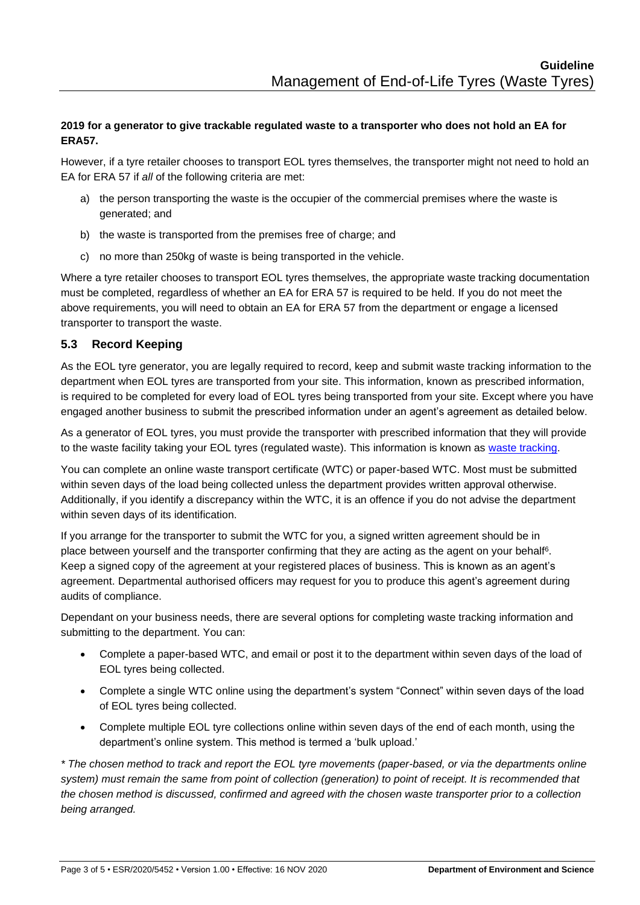#### **2019 for a generator to give trackable regulated waste to a transporter who does not hold an EA for ERA57.**

However, if a tyre retailer chooses to transport EOL tyres themselves, the transporter might not need to hold an EA for ERA 57 if *all* of the following criteria are met:

- a) the person transporting the waste is the occupier of the commercial premises where the waste is generated; and
- b) the waste is transported from the premises free of charge; and
- c) no more than 250kg of waste is being transported in the vehicle.

Where a tyre retailer chooses to transport EOL tyres themselves, the appropriate waste tracking documentation must be completed, regardless of whether an EA for ERA 57 is required to be held. If you do not meet the above requirements, you will need to obtain an EA for ERA 57 from the department or engage a licensed transporter to transport the waste.

#### **5.3 Record Keeping**

As the EOL tyre generator, you are legally required to record, keep and submit waste tracking information to the department when EOL tyres are transported from your site. This information, known as prescribed information, is required to be completed for every load of EOL tyres being transported from your site. Except where you have engaged another business to submit the prescribed information under an agent's agreement as detailed below.

As a generator of EOL tyres, you must provide the transporter with prescribed information that they will provide to the waste facility taking your EOL tyres (regulated waste). This information is known as [waste tracking.](https://environment.des.qld.gov.au/__data/assets/pdf_file/0021/86340/managing-wt-qld-overview.pdf)

You can complete an online waste transport certificate (WTC) or paper-based WTC. Most must be submitted within seven days of the load being collected unless the department provides written approval otherwise. Additionally, if you identify a discrepancy within the WTC, it is an offence if you do not advise the department within seven days of its identification.

If you arrange for the transporter to submit the WTC for you, a signed written agreement should be in place between yourself and the transporter confirming that they are acting as the agent on your behalf<sup>6</sup>. Keep a signed copy of the agreement at your registered places of business. This is known as an agent's agreement. Departmental authorised officers may request for you to produce this agent's agreement during audits of compliance.

Dependant on your business needs, there are several options for completing waste tracking information and submitting to the department. You can:

- Complete a paper-based WTC, and email or post it to the department within seven days of the load of EOL tyres being collected.
- Complete a single WTC online using the department's system "Connect" within seven days of the load of EOL tyres being collected.
- Complete multiple EOL tyre collections online within seven days of the end of each month, using the department's online system. This method is termed a 'bulk upload.'

*\* The chosen method to track and report the EOL tyre movements (paper-based, or via the departments online system) must remain the same from point of collection (generation) to point of receipt. It is recommended that the chosen method is discussed, confirmed and agreed with the chosen waste transporter prior to a collection being arranged.*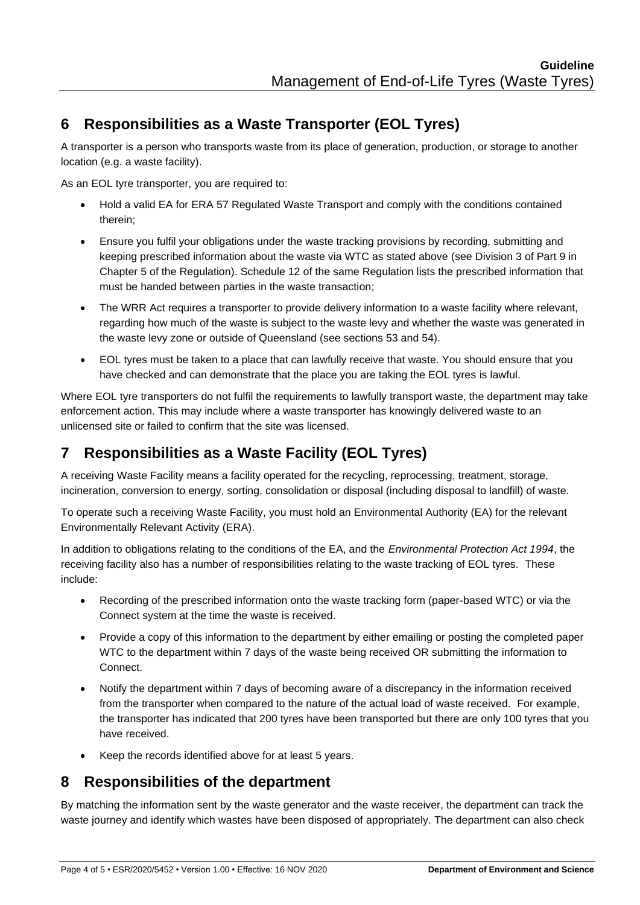## **6 Responsibilities as a Waste Transporter (EOL Tyres)**

A transporter is a person who transports waste from its place of generation, production, or storage to another location (e.g. a waste facility).

As an EOL tyre transporter, you are required to:

- Hold a valid EA for ERA 57 Regulated Waste Transport and comply with the conditions contained therein;
- Ensure you fulfil your obligations under the waste tracking provisions by recording, submitting and keeping prescribed information about the waste via WTC as stated above (see [Division 3](https://www.legislation.qld.gov.au/view/html/inforce/current/sl-2019-0155#ch.5-pt.9-div.3) of Part 9 in Chapter 5 of the Regulation). [Schedule 12](https://www.legislation.qld.gov.au/view/html/inforce/current/sl-2019-0155#sch.12) of the same Regulation lists the prescribed information that must be handed between parties in the waste transaction;
- The WRR Act requires a transporter to provide delivery information to a waste facility where relevant, regarding how much of the waste is subject to the waste levy and whether the waste was generated in the waste levy zone or outside of Queensland (see sections 53 and 54).
- EOL tyres must be taken to a place that can lawfully receive that waste. You should ensure that you have checked and can demonstrate that the place you are taking the EOL tyres is lawful.

Where EOL tyre transporters do not fulfil the requirements to lawfully transport waste, the department may take enforcement action. This may include where a waste transporter has knowingly delivered waste to an unlicensed site or failed to confirm that the site was licensed.

## **7 Responsibilities as a Waste Facility (EOL Tyres)**

A receiving Waste Facility means a facility operated for the recycling, reprocessing, treatment, storage, incineration, conversion to energy, sorting, consolidation or disposal (including disposal to landfill) of waste.

To operate such a receiving Waste Facility, you must hold an Environmental Authority (EA) for the relevant Environmentally Relevant Activity (ERA).

In addition to obligations relating to the conditions of the EA, and the *Environmental Protection Act 1994*, the receiving facility also has a number of responsibilities relating to the waste tracking of EOL tyres. These include:

- Recording of the prescribed information onto the waste tracking form (paper-based WTC) or via the Connect system at the time the waste is received.
- Provide a copy of this information to the department by either emailing or posting the completed paper WTC to the department within 7 days of the waste being received OR submitting the information to Connect.
- Notify the department within 7 days of becoming aware of a discrepancy in the information received from the transporter when compared to the nature of the actual load of waste received. For example, the transporter has indicated that 200 tyres have been transported but there are only 100 tyres that you have received.
- Keep the records identified above for at least 5 years.

## **8 Responsibilities of the department**

By matching the information sent by the waste generator and the waste receiver, the department can track the waste journey and identify which wastes have been disposed of appropriately. The department can also check